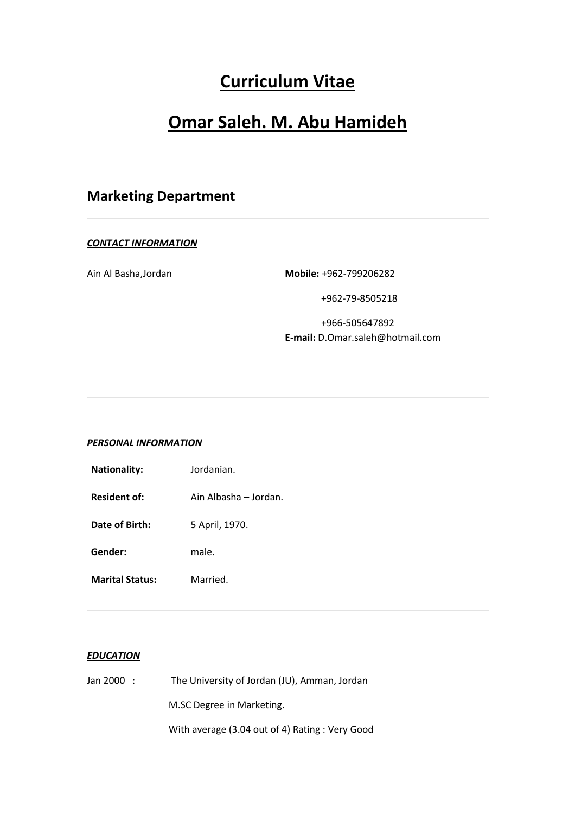## **Curriculum Vitae**

# **Omar Saleh. M. Abu Hamideh**

## **Marketing Department**

### *CONTACT INFORMATION*

Ain Al Basha,Jordan **Mobile:** +962-799206282

+962-79-8505218

 +966-505647892 **E-mail:** D.Omar.saleh@hotmail.com

## *PERSONAL INFORMATION*

| <b>Nationality:</b>    | Jordanian.            |  |  |
|------------------------|-----------------------|--|--|
| <b>Resident of:</b>    | Ain Albasha – Jordan. |  |  |
| Date of Birth:         | 5 April, 1970.        |  |  |
| Gender:                | male.                 |  |  |
| <b>Marital Status:</b> | Married.              |  |  |

## *EDUCATION*

| Jan 2000   : | The University of Jordan (JU), Amman, Jordan    |  |  |
|--------------|-------------------------------------------------|--|--|
|              | M.SC Degree in Marketing.                       |  |  |
|              | With average (3.04 out of 4) Rating : Very Good |  |  |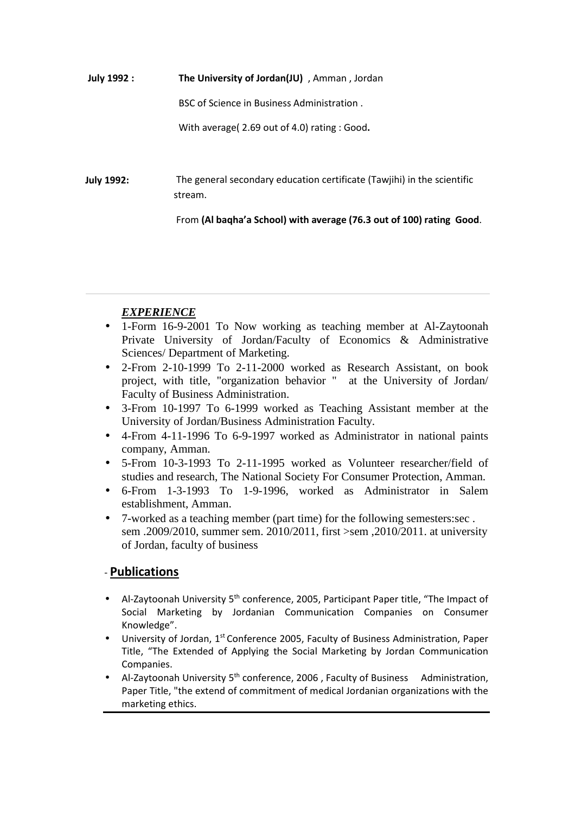**July 1992 : The University of Jordan(JU)** , Amman , Jordan BSC of Science in Business Administration . With average( 2.69 out of 4.0) rating : Good**.**

 **July 1992:**  The general secondary education certificate (Tawjihi) in the scientific stream.

From **(Al baqha'a School) with average (76.3 out of 100) rating Good**.

## *EXPERIENCE*

- 1-Form 16-9-2001 To Now working as teaching member at Al-Zaytoonah Private University of Jordan/Faculty of Economics & Administrative Sciences/ Department of Marketing.
- 2-From 2-10-1999 To 2-11-2000 worked as Research Assistant, on book project, with title, "organization behavior " at the University of Jordan/ Faculty of Business Administration.
- 3-From 10-1997 To 6-1999 worked as Teaching Assistant member at the University of Jordan/Business Administration Faculty.
- 4-From 4-11-1996 To 6-9-1997 worked as Administrator in national paints company, Amman.
- 5-From 10-3-1993 To 2-11-1995 worked as Volunteer researcher/field of studies and research, The National Society For Consumer Protection, Amman.
- 6-From 1-3-1993 To 1-9-1996, worked as Administrator in Salem establishment, Amman.
- 7-worked as a teaching member (part time) for the following semesters:sec . sem .2009/2010, summer sem. 2010/2011, first >sem ,2010/2011. at university of Jordan, faculty of business

## - **Publications**

- Al-Zaytoonah University  $5<sup>th</sup>$  conference, 2005, Participant Paper title, "The Impact of Social Marketing by Jordanian Communication Companies on Consumer Knowledge".
- University of Jordan, 1st Conference 2005, Faculty of Business Administration, Paper Title, "The Extended of Applying the Social Marketing by Jordan Communication Companies.
- Al-Zaytoonah University 5<sup>th</sup> conference, 2006 , Faculty of Business Administration, Paper Title, "the extend of commitment of medical Jordanian organizations with the marketing ethics.